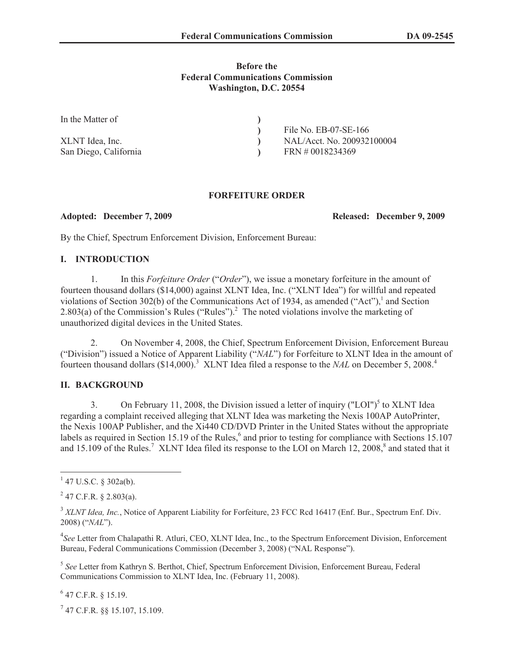## **Before the Federal Communications Commission Washington, D.C. 20554**

| In the Matter of      |                            |
|-----------------------|----------------------------|
|                       | File No. EB-07-SE-166      |
| XLNT Idea, Inc.       | NAL/Acct. No. 200932100004 |
| San Diego, California | FRN # 0018234369           |

## **FORFEITURE ORDER**

**Adopted: December 7, 2009 Released: December 9, 2009**

By the Chief, Spectrum Enforcement Division, Enforcement Bureau:

# **I. INTRODUCTION**

1. In this *Forfeiture Order* ("*Order*"), we issue a monetary forfeiture in the amount of fourteen thousand dollars (\$14,000) against XLNT Idea, Inc. ("XLNT Idea") for willful and repeated violations of Section 302(b) of the Communications Act of 1934, as amended ("Act"), 1 and Section 2.803(a) of the Commission's Rules ("Rules").<sup>2</sup> The noted violations involve the marketing of unauthorized digital devices in the United States.

2. On November 4, 2008, the Chief, Spectrum Enforcement Division, Enforcement Bureau ("Division") issued a Notice of Apparent Liability ("*NAL*") for Forfeiture to XLNT Idea in the amount of fourteen thousand dollars (\$14,000).<sup>3</sup> XLNT Idea filed a response to the *NAL* on December 5, 2008.<sup>4</sup>

# **II. BACKGROUND**

3. On February 11, 2008, the Division issued a letter of inquiry  $("LOI")^5$  to XLNT Idea regarding a complaint received alleging that XLNT Idea was marketing the Nexis 100AP AutoPrinter, the Nexis 100AP Publisher, and the Xi440 CD/DVD Printer in the United States without the appropriate labels as required in Section 15.19 of the Rules,<sup>6</sup> and prior to testing for compliance with Sections 15.107 and 15.109 of the Rules.<sup>7</sup> XLNT Idea filed its response to the LOI on March 12, 2008, $^8$  and stated that it

4 *See* Letter from Chalapathi R. Atluri, CEO, XLNT Idea, Inc., to the Spectrum Enforcement Division, Enforcement Bureau, Federal Communications Commission (December 3, 2008) ("NAL Response").

5 *See* Letter from Kathryn S. Berthot, Chief, Spectrum Enforcement Division, Enforcement Bureau, Federal Communications Commission to XLNT Idea, Inc. (February 11, 2008).

6 47 C.F.R. § 15.19.

7 47 C.F.R. §§ 15.107, 15.109.

 $1$  47 U.S.C. § 302a(b).

 $2$  47 C.F.R. § 2.803(a).

<sup>&</sup>lt;sup>3</sup> XLNT Idea, Inc., Notice of Apparent Liability for Forfeiture, 23 FCC Rcd 16417 (Enf. Bur., Spectrum Enf. Div. 2008) ("*NAL*").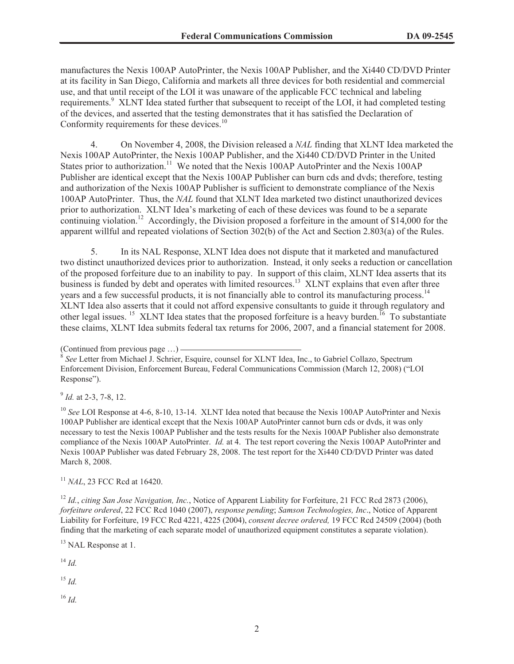manufactures the Nexis 100AP AutoPrinter, the Nexis 100AP Publisher, and the Xi440 CD/DVD Printer at its facility in San Diego, California and markets all three devices for both residential and commercial use, and that until receipt of the LOI it was unaware of the applicable FCC technical and labeling requirements.<sup>9</sup> XLNT Idea stated further that subsequent to receipt of the LOI, it had completed testing of the devices, and asserted that the testing demonstrates that it has satisfied the Declaration of Conformity requirements for these devices.<sup>10</sup>

4. On November 4, 2008, the Division released a *NAL* finding that XLNT Idea marketed the Nexis 100AP AutoPrinter, the Nexis 100AP Publisher, and the Xi440 CD/DVD Printer in the United States prior to authorization.<sup>11</sup> We noted that the Nexis 100AP AutoPrinter and the Nexis 100AP Publisher are identical except that the Nexis 100AP Publisher can burn cds and dvds; therefore, testing and authorization of the Nexis 100AP Publisher is sufficient to demonstrate compliance of the Nexis 100AP AutoPrinter. Thus, the *NAL* found that XLNT Idea marketed two distinct unauthorized devices prior to authorization. XLNT Idea's marketing of each of these devices was found to be a separate continuing violation.<sup>12</sup> Accordingly, the Division proposed a forfeiture in the amount of \$14,000 for the apparent willful and repeated violations of Section 302(b) of the Act and Section 2.803(a) of the Rules.

5. In its NAL Response, XLNT Idea does not dispute that it marketed and manufactured two distinct unauthorized devices prior to authorization. Instead, it only seeks a reduction or cancellation of the proposed forfeiture due to an inability to pay. In support of this claim, XLNT Idea asserts that its business is funded by debt and operates with limited resources.<sup>13</sup> XLNT explains that even after three years and a few successful products, it is not financially able to control its manufacturing process.<sup>14</sup> XLNT Idea also asserts that it could not afford expensive consultants to guide it through regulatory and other legal issues. <sup>15</sup> XLNT Idea states that the proposed forfeiture is a heavy burden.<sup>16</sup> To substantiate these claims, XLNT Idea submits federal tax returns for 2006, 2007, and a financial statement for 2008.

9 *Id.* at 2-3, 7-8, 12.

<sup>10</sup> *See* LOI Response at 4-6, 8-10, 13-14. XLNT Idea noted that because the Nexis 100AP AutoPrinter and Nexis 100AP Publisher are identical except that the Nexis 100AP AutoPrinter cannot burn cds or dvds, it was only necessary to test the Nexis 100AP Publisher and the tests results for the Nexis 100AP Publisher also demonstrate compliance of the Nexis 100AP AutoPrinter. *Id.* at 4. The test report covering the Nexis 100AP AutoPrinter and Nexis 100AP Publisher was dated February 28, 2008. The test report for the Xi440 CD/DVD Printer was dated March 8, 2008.

<sup>11</sup> *NAL*, 23 FCC Rcd at 16420.

<sup>12</sup> *Id., citing San Jose Navigation, Inc., Notice of Apparent Liability for Forfeiture, 21 FCC Rcd 2873 (2006), forfeiture ordered*, 22 FCC Rcd 1040 (2007), *response pending*; *Samson Technologies, Inc*., Notice of Apparent Liability for Forfeiture, 19 FCC Rcd 4221, 4225 (2004), *consent decree ordered,* 19 FCC Rcd 24509 (2004) (both finding that the marketing of each separate model of unauthorized equipment constitutes a separate violation).

<sup>13</sup> NAL Response at 1.

<sup>14</sup> *Id.*

<sup>15</sup> *Id.*

<sup>16</sup> *Id.*

<sup>(</sup>Continued from previous page …)

<sup>&</sup>lt;sup>8</sup> See Letter from Michael J. Schrier, Esquire, counsel for XLNT Idea, Inc., to Gabriel Collazo, Spectrum Enforcement Division, Enforcement Bureau, Federal Communications Commission (March 12, 2008) ("LOI Response").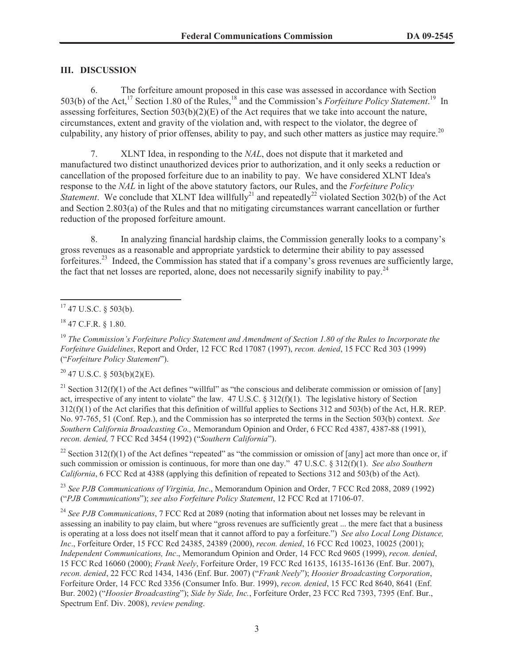# **III. DISCUSSION**

6. The forfeiture amount proposed in this case was assessed in accordance with Section 503(b) of the Act,<sup>17</sup> Section 1.80 of the Rules,<sup>18</sup> and the Commission's *Forfeiture Policy Statement*.<sup>19</sup> In assessing forfeitures, Section 503(b)(2)(E) of the Act requires that we take into account the nature, circumstances, extent and gravity of the violation and, with respect to the violator, the degree of culpability, any history of prior offenses, ability to pay, and such other matters as justice may require.<sup>20</sup>

7. XLNT Idea, in responding to the *NAL*, does not dispute that it marketed and manufactured two distinct unauthorized devices prior to authorization, and it only seeks a reduction or cancellation of the proposed forfeiture due to an inability to pay. We have considered XLNT Idea's response to the *NAL* in light of the above statutory factors, our Rules, and the *Forfeiture Policy Statement*. We conclude that XLNT Idea willfully<sup>21</sup> and repeatedly<sup>22</sup> violated Section 302(b) of the Act and Section 2.803(a) of the Rules and that no mitigating circumstances warrant cancellation or further reduction of the proposed forfeiture amount.

8. In analyzing financial hardship claims, the Commission generally looks to a company's gross revenues as a reasonable and appropriate yardstick to determine their ability to pay assessed forfeitures.<sup>23</sup> Indeed, the Commission has stated that if a company's gross revenues are sufficiently large, the fact that net losses are reported, alone, does not necessarily signify inability to pay.<sup>24</sup>

 $20$  47 U.S.C. § 503(b)(2)(E).

<sup>21</sup> Section 312(f)(1) of the Act defines "willful" as "the conscious and deliberate commission or omission of [any] act, irrespective of any intent to violate" the law.  $47 \text{ U.S.C.} \$   $312(f)(1)$ . The legislative history of Section 312(f)(1) of the Act clarifies that this definition of willful applies to Sections 312 and 503(b) of the Act, H.R. REP. No. 97-765, 51 (Conf. Rep.), and the Commission has so interpreted the terms in the Section 503(b) context. *See Southern California Broadcasting Co.,* Memorandum Opinion and Order, 6 FCC Rcd 4387, 4387-88 (1991), *recon. denied,* 7 FCC Rcd 3454 (1992) ("*Southern California*").

<sup>22</sup> Section 312(f)(1) of the Act defines "repeated" as "the commission or omission of [any] act more than once or, if such commission or omission is continuous, for more than one day." 47 U.S.C. § 312(f)(1). *See also Southern California*, 6 FCC Rcd at 4388 (applying this definition of repeated to Sections 312 and 503(b) of the Act).

<sup>23</sup> *See PJB Communications of Virginia, Inc*., Memorandum Opinion and Order, 7 FCC Rcd 2088, 2089 (1992) ("*PJB Communications*"); *see also Forfeiture Policy Statement*, 12 FCC Rcd at 17106-07.

<sup>24</sup> *See PJB Communications*, 7 FCC Rcd at 2089 (noting that information about net losses may be relevant in assessing an inability to pay claim, but where "gross revenues are sufficiently great ... the mere fact that a business is operating at a loss does not itself mean that it cannot afford to pay a forfeiture.") *See also Local Long Distance, Inc*., Forfeiture Order, 15 FCC Rcd 24385, 24389 (2000), *recon. denied*, 16 FCC Rcd 10023, 10025 (2001); *Independent Communications, Inc*., Memorandum Opinion and Order, 14 FCC Rcd 9605 (1999), *recon. denied*, 15 FCC Rcd 16060 (2000); *Frank Neely*, Forfeiture Order, 19 FCC Rcd 16135, 16135-16136 (Enf. Bur. 2007), *recon. denied*, 22 FCC Rcd 1434, 1436 (Enf. Bur. 2007) ("*Frank Neely*"); *Hoosier Broadcasting Corporation*, Forfeiture Order, 14 FCC Rcd 3356 (Consumer Info. Bur. 1999), *recon. denied*, 15 FCC Rcd 8640, 8641 (Enf. Bur. 2002) ("*Hoosier Broadcasting*"); *Side by Side, Inc.*, Forfeiture Order, 23 FCC Rcd 7393, 7395 (Enf. Bur., Spectrum Enf. Div. 2008), *review pending*.

 $17$  47 U.S.C. § 503(b).

<sup>18</sup> 47 C.F.R. § 1.80.

<sup>19</sup> *The Commission's Forfeiture Policy Statement and Amendment of Section 1.80 of the Rules to Incorporate the Forfeiture Guidelines*, Report and Order, 12 FCC Rcd 17087 (1997), *recon. denied*, 15 FCC Rcd 303 (1999) ("*Forfeiture Policy Statement*").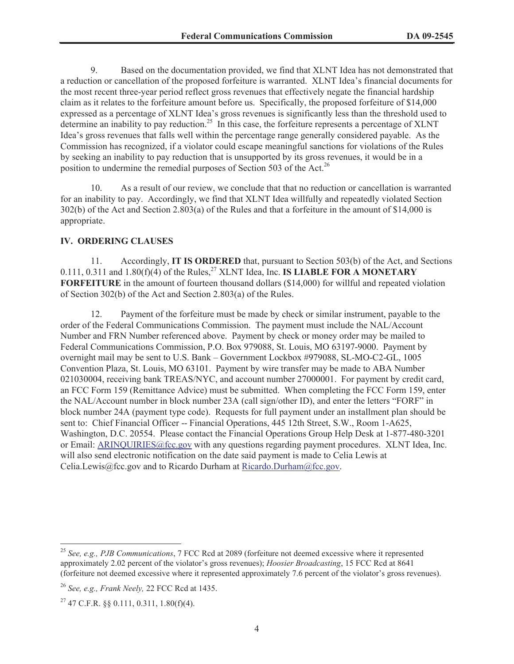9. Based on the documentation provided, we find that XLNT Idea has not demonstrated that a reduction or cancellation of the proposed forfeiture is warranted. XLNT Idea's financial documents for the most recent three-year period reflect gross revenues that effectively negate the financial hardship claim as it relates to the forfeiture amount before us. Specifically, the proposed forfeiture of \$14,000 expressed as a percentage of XLNT Idea's gross revenues is significantly less than the threshold used to determine an inability to pay reduction.<sup>25</sup> In this case, the forfeiture represents a percentage of XLNT Idea's gross revenues that falls well within the percentage range generally considered payable. As the Commission has recognized, if a violator could escape meaningful sanctions for violations of the Rules by seeking an inability to pay reduction that is unsupported by its gross revenues, it would be in a position to undermine the remedial purposes of Section 503 of the Act.<sup>26</sup>

10. As a result of our review, we conclude that that no reduction or cancellation is warranted for an inability to pay. Accordingly, we find that XLNT Idea willfully and repeatedly violated Section 302(b) of the Act and Section 2.803(a) of the Rules and that a forfeiture in the amount of \$14,000 is appropriate.

#### **IV. ORDERING CLAUSES**

11. Accordingly, **IT IS ORDERED** that, pursuant to Section 503(b) of the Act, and Sections  $0.111$ ,  $0.311$  and  $1.80(f)(4)$  of the Rules,<sup>27</sup> XLNT Idea, Inc. **IS LIABLE FOR A MONETARY FORFEITURE** in the amount of fourteen thousand dollars (\$14,000) for willful and repeated violation of Section 302(b) of the Act and Section 2.803(a) of the Rules.

12. Payment of the forfeiture must be made by check or similar instrument, payable to the order of the Federal Communications Commission. The payment must include the NAL/Account Number and FRN Number referenced above. Payment by check or money order may be mailed to Federal Communications Commission, P.O. Box 979088, St. Louis, MO 63197-9000. Payment by overnight mail may be sent to U.S. Bank – Government Lockbox #979088, SL-MO-C2-GL, 1005 Convention Plaza, St. Louis, MO 63101. Payment by wire transfer may be made to ABA Number 021030004, receiving bank TREAS/NYC, and account number 27000001. For payment by credit card, an FCC Form 159 (Remittance Advice) must be submitted. When completing the FCC Form 159, enter the NAL/Account number in block number 23A (call sign/other ID), and enter the letters "FORF" in block number 24A (payment type code). Requests for full payment under an installment plan should be sent to: Chief Financial Officer -- Financial Operations, 445 12th Street, S.W., Room 1-A625, Washington, D.C. 20554. Please contact the Financial Operations Group Help Desk at 1-877-480-3201 or Email: ARINQUIRIES@fcc.gov with any questions regarding payment procedures. XLNT Idea, Inc. will also send electronic notification on the date said payment is made to Celia Lewis at Celia.Lewis@fcc.gov and to Ricardo Durham at Ricardo.Durham@fcc.gov.

<sup>25</sup> *See, e.g., PJB Communications*, 7 FCC Rcd at 2089 (forfeiture not deemed excessive where it represented approximately 2.02 percent of the violator's gross revenues); *Hoosier Broadcasting*, 15 FCC Rcd at 8641 (forfeiture not deemed excessive where it represented approximately 7.6 percent of the violator's gross revenues).

<sup>26</sup> *See, e.g., Frank Neely,* 22 FCC Rcd at 1435.

 $^{27}$  47 C.F.R. §§ 0.111, 0.311, 1.80(f)(4).